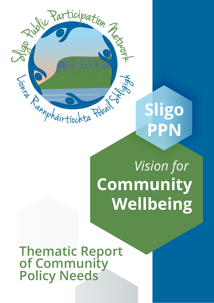

# *Vision for*  **Community Wellbeing**

**Thematic Report of Community Policy Needs**

**SLIGO PPN** - THEMATIC REPORT OF COMMUNITY POLICY NEEDS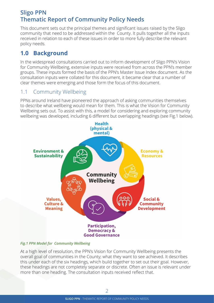# **Sligo PPN Thematic Report of Community Policy Needs**

This document sets out the principal themes and significant issues raised by the Sligo community that need to be addressed within the County. It pulls together all the inputs received in relation to each of these issues in order to more fully describe the relevant policy needs.

# **1.0 Background**

In the widespread consultations carried out to inform development of Sligo PPN's Vision for Community Wellbeing, extensive inputs were received from across the PPN's member groups. These inputs formed the basis of the PPN's Master Issue Index document. As the consultation inputs were collated for this document, it became clear that a number of clear themes were emerging and those form the focus of this document.

# 1.1 Community Wellbeing

PPNs around Ireland have pioneered the approach of asking communities themselves to describe what wellbeing would mean for them. This is what the Vision for Community Wellbeing sets out. To assist with this, a model for considering and exploring community wellbeing was developed, including 6 different but overlapping headings (see Fig.1 below).



#### *Fig.1 PPN Model for Community Wellbeing*

At a high level of resolution, the PPN's Vision for Community Wellbeing presents the overall goal of communities in the County; what they want to see achieved. It describes this under each of the six headings, which build together to set out their goal. However, these headings are not completely separate or discrete. Often an issue is relevant under more than one heading. The consultation inputs received reflect that.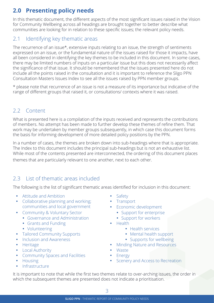# **2.0 Presenting policy needs**

In this thematic document, the different aspects of the most significant issues raised in the Vision for Community Wellbeing across all headings are brought together to better describe what communities are looking for in relation to these specific issues; the relevant policy needs.

# 2.1 Identifying key thematic areas

The recurrence of an issue\*, extensive inputs relating to an issue, the strength of sentiments expressed on an issue, or the fundamental nature of the issues raised for those it impacts, have all been considered in identifying the key themes to be included in this document. In some cases, there may be limited numbers of inputs on a particular issue but this does not necessarily affect the significance of that issue. It should be remembered that the issues presented here do not include all the points raised in the consultation and it is important to reference the Sligo PPN Consultation Masters Issues Index to see all the issues raised by PPN member groups.

\* please note that recurrence of an issue is not a measure of its importance but indicative of the range of different groups that raised it, or consultations/ contexts where it was raised.

# 2.2 Content

What is presented here is a compilation of the inputs received and represents the contributions of members. No attempt has been made to further develop these themes of refine them. That work may be undertaken by member groups subsequently, in which case this document forms the basis for informing development of more detailed policy positions by the PPN.

In a number of cases, the themes are broken down into sub-headings where that is appropriate. The Index to this document includes the principal sub-headings but is not an exhaustive list. While most of the contents presented are interconnected, the ordering of this document places themes that are particularly relevant to one another, next to each other.

# 2.3 List of thematic areas included

The following is the list of significant thematic areas identified for inclusion in this document:

- Attitude and Ambition **•** Safety
- Collaborative planning and working; communities and local government
- Community & Voluntary Sector Support for enterprise
	- Governance and Administration Support for workers
	- Grants and Funding **•** Health
	-
- Tailored Community Supports Mental health support
- Inclusion and Awareness Supports for wellbeing
- 
- Local Authority Waste
- Community Spaces and Facilities Energy
- 
- **Infrastructure**
- 
- • Transport
- • Economic development
	-
	-
- 
- Volunteering **•** Volunteering **•** Health services
	-
	-
- Heritage **Minding Nature and Resources** 
	-
	-
- Housing Scenery and Access to Recreation

It is important to note that while the first two themes relate to over-arching issues, the order in which the subsequent themes are presented does not indicate a prioritisation.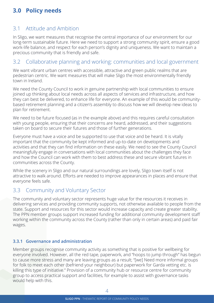# **3.0 Policy needs**

# 3.1 Attitude and Ambition

In Sligo, we want measures that recognise the central importance of our environment for our long-term sustainable future. Here we need to support a strong community spirit, ensure a good work-life balance, and respect for each person's dignity and uniqueness. We want to maintain a precious community that is friendly and safe.

## 3.2 Collaborative planning and working: communities and local government

We want vibrant urban centres with accessible, attractive and green public realms that are pedestrian centric. We want measures that will make Sligo the most environmentally friendly town in Ireland.

We need the County Council to work in genuine partnership with local communities to ensure joined up thinking about local needs across all aspects of services and infrastructure, and how they can best be delivered, to enhance life for everyone. An example of this would be communitybased retirement planning and a citizen's assembly to discuss how we will develop new ideas to plan for retirement.

We need to be future focused (as in the example above) and this requires careful consultation with young people, ensuring that their concerns are heard, addressed, and their suggestions taken on board to secure their futures and those of further generations.

Everyone must have a voice and be supported to use that voice and be heard. It is vitally important that the community be kept informed and up-to-date on developments and activities and that they can find information on these easily. We need to see the County Council meaningfully engage in conversations with local communities about the challenges they face and how the Council can work with them to best address these and secure vibrant futures in communities across the County.

While the scenery in Sligo and our natural surroundings are lovely, Sligo town itself is not attractive to walk around. Efforts are needed to improve appearances in places and ensure that everyone feels safe.

## 3.3 Community and Voluntary Sector

The community and voluntary sector represents huge value for the resources it receives in delivering services and providing community supports, not otherwise available to people from the state. Support and resources for this sector would increase capacity and create greater stability. The PPN member groups support increased funding for additional community development staff working within the community across the County (rather than only in certain areas) and paid fair wages.

#### **3.3.1 Governance and administration**

Member groups recognise community activity as something that is positive for wellbeing for everyone involved. However, all the red tape, paperwork, and "hoops to jump through" has begun to cause more stress and many are leaving groups as a result; "[we] Need more informal groups for folk to meet each other (befriend your neighbour) but paperwork for Garda vetting etc. is killing this type of initiative." Provision of a community hub or resource centre for community group to access practical support and facilities, for example to assist with governance tasks would help with this.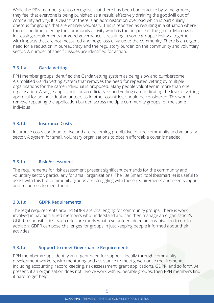While the PPN member groups recognise that there has been bad practice by some groups, they feel that everyone is being punished as a result; effectively draining the goodwill out of community activity. It is clear that there is an administration overload which is particularly onerous for groups that are entirely voluntary. This is reported as resulting in a situation where there is no time to enjoy the community activity which is the purpose of the group. Moreover, increasing requirements for good governance is resulting in some groups closing altogether with impacts that are not measured and huge loss of value to the community. There is an urgent need for a reduction in bureaucracy and the regulatory burden on the community and voluntary sector. A number of specific issues are identified for action.

#### **3.3.1.a Garda Vetting**

PPN member groups identified the Garda vetting system as being slow and cumbersome. A simplified Garda vetting system that removes the need for repeated vetting by multiple organisations for the same individual is proposed. Many people volunteer in more than one organisation. A single application for an officially issued vetting card indicating the level of vetting approval for an individual volunteer, as in other countries, should be considered. This would remove repeating the application burden across multiple community groups for the same individual.

#### **3.3.1.b Insurance Costs**

Insurance costs continue to rise and are becoming prohibitive for the community and voluntary sector. A system for small, voluntary organisations to obtain affordable cover is needed.

#### **3.3.1.c Risk Assessment**

The requirements for risk assessment present significant demands for the community and voluntary sector, particularly for small organisations. The "Be Smart" tool (besmart.ie) is useful to assist with this but community groups are struggling with these requirements and need support and resources to meet them.

#### **3.3.1.d GDPR Requirements**

The legal requirements around GDPR are challenging for community groups. There is work involved in having trained members who understand and can then manage an organisation's GDPR responsibilities. Such roles are rarely what a volunteer joined an organisation to do. In addition, GDPR can pose challenges for groups in just keeping people informed about their activities.

#### **3.3.1.e Support to meet Governance Requirements**

PPN member groups identify an urgent need for support, ideally through community development workers, with mentoring and assistance to meet governance requirements including accounting, record keeping, risk assessment, grant applications, GDPR, and so forth. At present, if an organisation does not involve work with vulnerable groups, then PPN members find it hard to get help.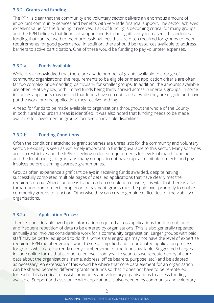#### **3.3.2 Grants and funding**

The PPN is clear that the community and voluntary sector delivers an enormous amount of important community services and benefits with very little financial support. The sector achieves excellent value for the funding it receives. Lack of funding is becoming critical for many groups and the PPN believes that financial support needs to be significantly increased. This includes funding that can be used to meet professional fees that are often required for groups to meet requirements for good governance. In addition, there should be resources available to address barriers to active participation. One of these would be funding to pay volunteer expenses.

#### **3.3.2.a Funds Available**

While it is acknowledged that there are a wide number of grants available to a range of community organisations, the requirements to be eligible or meet application criteria are often far too complex or demanding, particularly for smaller groups. In addition, the amounts available are often relatively low, with limited funds being thinly spread across numerous groups. In some instances applicants may be told that funds have run out, so that while they are eligible and have put the work into the application, they receive nothing.

A need for funds to be made available to organisations throughout the whole of the County in both rural and urban areas is identified. It was also noted that funding needs to be made available for investment in groups focused on invisible disabilities.

#### **3.3.2.b Funding Conditions**

Often the conditions attached to grant schemes are unrealistic for the community and voluntary sector. Flexibility is seen as extremely important in funding available to this sector. Many schemes are too restrictive and the PPN is seeking reduced requirements for levels of match funding and the frontloading of grants, as many groups do not have capital to initiate projects and pay invoices before claiming awarded grant monies.

Groups often experience significant delays in receiving funds awarded, despite having successfully completed multiple pages of detailed applications that have clearly met the required criteria. Where funding is to be paid on completion of work, it is vital that there is a fast turnaround from project completion to payment; grants must be paid over promptly to enable community groups to function. Otherwise they can create genuine difficulties for the viability of organisations.

#### **3.3.2.c Application Process**

There is considerable overlap in information required across applications for different funds and frequent repetition of data to be entered by organisations. This is also generally repeated annually and involves considerable work for a community organisation. Larger groups with paid staff may be better equipped to do this, while smaller groups may not have the level of expertise required. PPN member groups want to see a simplified and co-ordinated application process for grants which are currently overly cumbersome for the funds available. Suggested changes include online forms that can be rolled over from year to year to save repeated entry of core data about the organisations (name, address, office bearers, purpose, etc.) and be adapted as necessary. An extension of this would be where that core data element for an organisation can be shared between different grants or funds so that it does not have to be re-entered for each. This is critical to assist community and voluntary organisations to access funding available. Support and assistance with applications is also needed by community and voluntary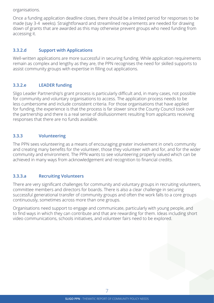organisations.

Once a funding application deadline closes, there should be a limited period for responses to be made (say 3-4 weeks). Straightforward and streamlined requirements are needed for drawing down of grants that are awarded as this may otherwise prevent groups who need funding from accessing it.

#### **3.3.2.d Support with Applications**

Well-written applications are more successful in securing funding. While application requirements remain as complex and lengthy as they are, the PPN recognises the need for skilled supports to assist community groups with expertise in filling out applications.

#### **3.3.2.e LEADER funding**

Sligo Leader Partnership's grant process is particularly difficult and, in many cases, not possible for community and voluntary organisations to access. The application process needs to be less cumbersome and include consistent criteria. For those organisations that have applied for funding, the experience is that the process is far slower since the County Council took over the partnership and there is a real sense of disillusionment resulting from applicants receiving responses that there are no funds available.

#### **3.3.3 Volunteering**

The PPN sees volunteering as a means of encouraging greater involvement in one's community and creating many benefits for the volunteer, those they volunteer with and for, and for the wider community and environment. The PPN wants to see volunteering properly valued which can be achieved in many ways from acknowledgement and recognition to financial credits.

#### **3.3.3.a Recruiting Volunteers**

There are very significant challenges for community and voluntary groups in recruiting volunteers, committee members and directors for boards. There is also a clear challenge in securing successful generational transfer of community groups and often the work falls to a core groups continuously, sometimes across more than one groups.

Organisations need support to engage and communicate, particularly with young people, and to find ways in which they can contribute and that are rewarding for them. Ideas including short video communications, schools initiatives, and volunteer fairs need to be explored.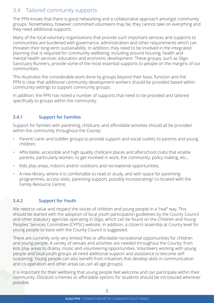# 3.4 Tailored community supports

The PPN knows that there is good networking and a collaborative approach amongst community groups. Nonetheless, however committed volunteers may be, they cannot take on everything and they need additional supports.

Many of the local voluntary organisations that provide such important services and supports to communities are burdened with governance, administration and other requirements which can threaten their long-term sustainability. In addition, they need to be involved in the integrated planning that is required for community wellbeing; including around housing, health and mental health services, education and economic development. These groups, such as Sligo Sanctuary Runners, provide some of the most essential supports to people on the margins of our communities.

This illustrates the considerable work done by groups beyond their basic function and the PPN is clear that additional community development workers should be provided based within community settings to support community groups.

In addition, the PPN has noted a number of supports that need to be provided and tailored specifically to groups within the community.

#### **3.4.1 Support for Families**

Support for families with parenting, childcare, and affordable activities should all be provided within the community throughout the County:

- Parent/ carer and toddler groups to provide support and social outlets to parents and young children;
- Affordable, accessible and high quality childcare places and afterschool clubs that enable parents, particularly women, to get involved in work, the community, policy making, etc.;
- Kids play areas, indoors and/or outdoors and recreational opportunities;
- A new library, where it is comfortable to read or study, and with space for parenting programmes, access visits, parenting support, possibly incorporating/ co-located with the Family Resource Centre;

#### **3.4.2 Support for Youth**

We need to value and respect the voices of children and young people in a "real" way. This should be started with the adoption of local youth participation guidelines by the County Council and other statutory agencies operating in Sligo, which can be found on the Children and Young Peoples' Services Committee (CYPSC) website. In addition, a citizen's assembly at County level for young people to liaise with the County Council is suggested.

There are currently only very limited free or affordable recreational opportunities for children and young people. A variety of venues and activities are needed throughout the County; from kids play areas to drama, music and volunteering opportunities. Volunteers working with young people and local youth groups all need additional support and assistance to become selfsustaining. Young people can also benefit from initiatives that develop skills in communication and co-operation and other areas (as can all age groups).

It is important for their wellbeing that young people feel welcome and can participate within their community. Discount schemes or affordable options for students should be introduced wherever possible.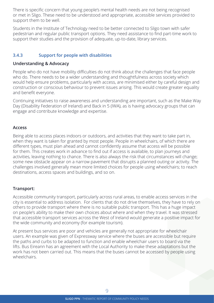There is specific concern that young people's mental health needs are not being recognised or met in Sligo. These need to be understood and appropriate, accessible services provided to support them to be well.

Students in the Institute of Technology need to be better connected to Sligo town with safer pedestrian and regular public transport options. They need assistance to find part-time work to support their studies and the provision of adequate, up-to-date, library services.

#### **3.4.3 Support for people with disabilities**

#### **Understanding & Advocacy**

People who do not have mobility difficulties do not think about the challenges that face people who do. There needs to be a wider understanding and thoughtfulness across society which would help ensure problems, particularly with access, are minimised either by careful design and construction or conscious behaviour to prevent issues arising. This would create greater equality and benefit everyone.

Continuing initiatives to raise awareness and understanding are important, such as the Make Way Day (Disability Federation of Ireland) and Back in 5 (IWA), as is having advocacy groups that can engage and contribute knowledge and expertise.

#### **Access**

Being able to access places indoors or outdoors, and activities that they want to take part in, when they want is taken for granted by most people. People in wheelchairs, of which there are different types, must plan ahead and cannot confidently assume that access will be possible for them. This creates work in advance to find out if access is available, to plan journeys and activities, leaving nothing to chance. There is also always the risk that circumstances will change; some new obstacle appear on a narrow pavement that disrupts a planned outing or activity. The challenges involved generally mean more limited choices for people using wheelchairs; to reach destinations, access spaces and buildings, and so on.

#### **Transport:**

Accessible community transport, particularly across rural areas, to enable access services in the city is essential to address isolation. For clients that do not drive themselves, they have to rely on others to provide transport where there is no suitable public transport. This has a huge impact on people's ability to make their own choices about where and when they travel. It was stressed that accessible transport services across the West of Ireland would generate a positive impact for the wide community and economy (for example tourism).

At present bus services are poor and vehicles are generally not appropriate for wheelchair users. An example was given of Expressway service where the buses are accessible but require the paths and curbs to be adapted to function and enable wheelchair users to board via the lifts. Bus Eireann has an agreement with the Local Authority to make these adaptations but the work has not been carried out. This means that the buses cannot be accessed by people using wheelchairs.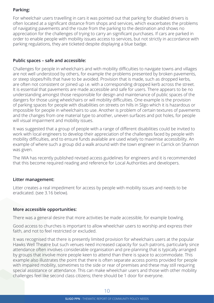#### **Parking:**

For wheelchair users travelling in cars it was pointed out that parking for disabled drivers is often located at a significant distance from shops and services, which exacerbates the problems of navigating pavements and the route from the parking to the destination and shows no appreciation for the challenges of trying to carry an significant purchases. If cars are parked in order to enable people with mobility issues access to services, but not strictly in accordance with parking regulations, they are ticketed despite displaying a blue badge.

#### **Public spaces – safe and accessible:**

Challenges for people in wheelchairs and with mobility difficulties to navigate towns and villages are not well understood by others, for example the problems presented by broken pavements, or steep slopes/hills that have to be avoided. Provision that is made, such as dropped kerbs, are often not consistent or joined up i.e. with a corresponding dropped kerb across the street. It is essential that pavements are made accessible and safe for users. There appears to be no understanding amongst those responsible for design and maintenance of public spaces of the dangers for those using wheelchairs or will mobility difficulties. One example is the provision of parking spaces for people with disabilities on streets on hills in Sligo which it is hazardous or impossible for people in wheelchairs to use. Another is problem of certain textures of pavements and the changes from one material type to another, uneven surfaces and pot holes, for people will visual impairment and mobility issues.

It was suggested that a group of people with a range of different disabilities could be invited to work with local engineers to develop their appreciation of the challenges faced by people with mobility difficulties, and to ensure funds available are used wisely to maximise accessibility. An example of where such a group did a walk around with the town engineer in Carrick on Shannon was given.

The IWA has recently published revised access guidelines for engineers and it is recommended that this become required reading and reference for Local Authorities and developers.

#### **Litter management:**

Litter creates a real impediment for access by people with mobility issues and needs to be eradicated. (see 3.16 below).

#### **More accessible opportunities:**

There was a general desire that more activities be made accessible, for example bowling.

Good access to churches is important to allow wheelchair users to worship and express their faith, and not to feel restricted or excluded.

It was recognised that there is presently limited provision for wheelchairs users at the popular Hawks Well Theatre but such venues need increased capacity for such patrons, particularly since attendance often involves considerable organisation and pre-planning that is typically arranged by groups that involve more people keen to attend than there is space to accommodate. This example also illustrates the point that there is often separate access points provided for people with impaired mobility, sometimes to the side or rear of premises and these may still requiring special assistance or attendance. This can make wheelchair users and those with other mobility challenges feel like second class citizens; there should be 1 door for everyone.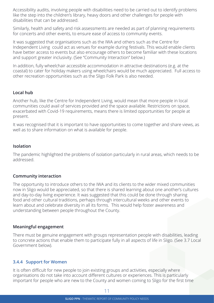Accessibility audits, involving people with disabilities need to be carried out to identify problems like the step into the children's library, heavy doors and other challenges for people with disabilities that can be addressed.

Similarly, health and safety and risk assessments are needed as part of planning requirements for concerts and other events, to ensure ease of access to community events.

It was suggested that organisations such as the IWA and others such as the Centre for Independent Living could act as venues for example during festivals. This would enable clients have better access to events but also encourage others to become familiar with these locations and support greater inclusivity. (See "Community Interaction" below.)

In addition, fully wheelchair accessible accommodation in attractive destinations (e.g. at the coastal) to cater for holiday makers using wheelchairs would be much appreciated. Full access to other recreation opportunities such as the Sligo Folk Park is also needed.

#### **Local hub**

Another hub, like the Centre for Independent Living, would mean that more people in local communities could avail of services provided and the space available. Restrictions on space, exacerbated with Covid-19 requirements, means there is limited opportunities for people at present.

It was recognised that it is important to have opportunities to come together and share views, as well as to share information on what is available for people.

#### **Isolation**

The pandemic highlighted the problems of isolation particularly in rural areas, which needs to be addressed.

#### **Community interaction**

The opportunity to introduce others to the IWA and its clients to the wider mixed communities now in Sligo would be appreciated, so that there is shared learning about one another's cultures and day-to-day living experience. It was suggested that this could be done through sharing food and other cultural traditions, perhaps through intercultural weeks and other events to learn about and celebrate diversity in all its forms. This would help foster awareness and understanding between people throughout the County.

#### **Meaningful engagement**

There must be genuine engagement with groups representation people with disabilities, leading to concrete actions that enable them to participate fully in all aspects of life in Sligo. (See 3.7 Local Government below).

#### **3.4.4 Support for Women**

It is often difficult for new people to join existing groups and activities, especially where organisations do not take into account different cultures or experiences. This is particularly important for people who are new to the County and women coming to Sligo for the first time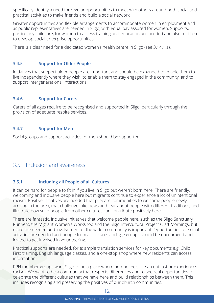specifically identify a need for regular opportunities to meet with others around both social and practical activities to make friends and build a social network.

Greater opportunities and flexible arrangements to accommodate women in employment and as public representatives are needed in Sligo, with equal pay assured for women. Supports, particularly childcare, for women to access training and education are needed and also for them to develop social enterprise opportunities.

There is a clear need for a dedicated women's health centre in Sligo (see 3.14.1.a).

#### **3.4.5 Support for Older People**

Initiatives that support older people are important and should be expanded to enable them to live independently where they wish, to enable them to stay engaged in the community, and to support intergenerational interactions.

#### **3.4.6 Support for Carers**

Carers of all ages require to be recognised and supported in Sligo, particularly through the provision of adequate respite services.

#### **3.4.7 Support for Men**

Social groups and support activities for men should be supported.

# 3.5 Inclusion and awareness

#### **3.5.1 Including all People of all Cultures**

It can be hard for people to fit in if you live in Sligo but weren't born here. There are friendly, welcoming and inclusive people here but migrants continue to experience a lot of unintentional racism. Positive initiatives are needed that prepare communities to welcome people newly arriving in the area, that challenge fake news and fear about people with different traditions, and illustrate how such people from other cultures can contribute positively here.

There are fantastic, inclusive initiatives that welcome people here, such as the Sligo Sanctuary Runners, the Migrant Women's Workshop and the Sligo Intercultural Project Craft Mornings, but more are needed and involvement of the wider community is important. Opportunities for social activities are needed and people from all cultures and age groups should be encouraged and invited to get involved in volunteering.

Practical supports are needed, for example translation services for key documents e.g. Child First training, English language classes, and a one-stop shop where new residents can access information.

PPN member groups want Sligo to be a place where no-one feels like an outcast or experiences racism. We want to be a community that respects differences and to see real opportunities to celebrate the different cultures that we have here and build relationships between them. This includes recognising and preserving the positives of our church communities.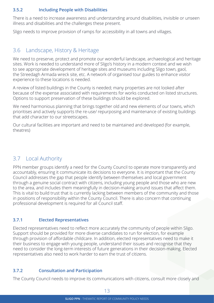#### **3.5.2 Including People with Disabilities**

There is a need to increase awareness and understanding around disabilities, invisible or unseen illness and disabilities and the challenges these present.

Sligo needs to improve provision of ramps for accessibility in all towns and villages.

# 3.6 Landscape, History & Heritage

We need to preserve, protect and promote our wonderful landscape, archaeological and heritage sites. Work is needed to understand more of Sligo's history in a modern context and we wish to see appropriate development of heritage sites and museums including Sligo town, gaol, the Streedagh Armada wreck site, etc. A network of organised tour guides to enhance visitor experience to these locations is needed.

A review of listed buildings in the County is needed; many properties are not looked after because of the expense associated with requirements for works conducted on listed structures. Options to support preservation of these buildings should be explored.

We need harmonious planning that brings together old and new elements of our towns, which prioritises and actively supports the re-use/ repurposing and maintenance of existing buildings that add character to our streetscapes.

Our cultural facilities are important and need to be maintained and developed (for example, theatres)

# 3.7 Local Authority

PPN member groups identify a need for the County Council to operate more transparently and accountably, ensuring it communicate its decisions to everyone. It is important that the County Council addresses the gap that people identify between themselves and local government through a genuine social contract with citizens, including young people and those who are new to the area, and includes them meaningfully in decision-making around issues that affect them. This is vital to build trust that is currently lacking between members of the community and those in positions of responsibility within the County Council. There is also concern that continuing professional development is required for all Council staff.

#### **3.7.1 Elected Representatives**

Elected representatives need to reflect more accurately the community of people within Sligo. Support should be provided for more diverse candidates to run for election, for example through provision of affordable childcare. In addition, elected representatives need to make it their business to engage with young people, understand their issues and recognise that they need to consider the long-term interests of future generations in their decision-making. Elected representatives also need to work harder to earn the trust of citizens.

#### **3.7.2 Consultation and Participation**

The County Council needs to improve its communications with citizens, consult more closely and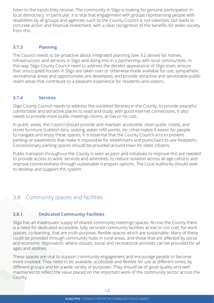listen to the inputs they receive. The community in Sligo is looking for genuine participation in local democracy. In particular, it is vital that engagement with groups representing people with disabilities by all groups and agencies such as the County Council is not tokenistic but leads to concrete action and financial investment, with a clear recognition of the benefits for wider society from this.

#### **3.7.3 Planning**

The Council needs to be proactive about integrated planning (see 3.2 above) for homes, infrastructure, and services in Sligo and doing this in a partnership with local communities. In this way, Sligo County Council need to address the derelict appearance of Sligo town, ensure that unoccupied houses in Sligo are taken over or otherwise made available for use, sympathetic recreational areas and opportunities are developed, and provide attractive and serviceable public realm areas that contribute to a pleasant experience for residents and visitors.

#### **3.7.4 Services**

Sligo County Council needs to address the outdated libraries in the County, to provide peaceful, comfortable and attractive places to read and study, with good internet connections. It also needs to provide more public meetings rooms, at low or no cost.

In public areas, the Council should provide and maintain accessible, clean public toilets, and street furniture (rubbish bins, seating, water refill points, etc.) that makes it easier for people to navigate and enjoy these spaces. It is essential that the County Council acts to prevent parking on pavements that make it impossible for wheelchairs and pushchairs to use footpaths. Concessionary parking spaces should be provided around town for older citizens.

Public transport throughout the County is seen as poor and initiatives to improve this are needed to provide access to work, services and amenities, to reduce isolation across all age cohorts and improve connectedness through sustainable transport options. The Local Authority should seek to develop and support this system.

# 3.8 Community spaces and facilities

#### **3.8.1 Dedicated Community Facilities**

Sligo has an inadequate supply of shared community meetings spaces. Across the County there is a need for dedicated accessible, fully serviced community facilities at low or not cost; for work spaces, co-learning, that are multi-purpose, flexible spaces which are sustainable. Many of these could be provided through community hubs in rural areas, and those that are affected by social and economic deprivation, where classes, social and recreational activities can be provided for all ages and abilities.

These spaces are vital to support community engagement and encourage people to become more involved. They need to be available, accessible and flexible for use at different times, by different groups and for a wide variety of purposes. They should be of good quality and wellmaintained to reflect the value placed on the important work of the community sector across the County.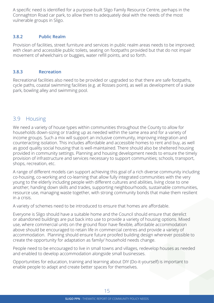A specific need is identified for a purpose-built Sligo Family Resource Centre, perhaps in the Connaghton Road car park, to allow them to adequately deal with the needs of the most vulnerable groups in Sligo.

#### **3.8.2 Public Realm**

Provision of facilities, street furniture and services in public realm areas needs to be improved; with clean and accessible public toilets, seating on footpaths provided but that do not impair movement of wheelchairs or buggies, water refill points, and so forth.

#### **3.8.3 Recreation**

Recreational facilities also need to be provided or upgraded so that there are safe footpaths, cycle paths, coastal swimming facilities (e.g. at Rosses point), as well as development of a skate park, bowling alley and swimming pool.

# 3.9 Housing

We need a variety of house types within communities throughout the County to allow for households down-sizing or trading up as needed within the same area and for a variety of income groups. Such a mix will support an inclusive community, improving integration and counteracting isolation. This includes affordable and accessible homes to rent and buy, as well as good quality social housing that is well-maintained. There should also be sheltered housing provided in community settings. Planning and housing development needs to ensure the timely provision of infrastructure and services necessary to support communities; schools, transport, shops, recreation, etc.

A range of different models can support achieving this goal of a rich diverse community including co-housing, co-working and co-learning that allow fully integrated communities with the very young to the elderly including people with different cultures and abilities, living close to one another; handing down skills and trades, supporting neighbourhoods, sustainable communities, resource use, managing waste together, with strong community bonds that make them resilient in a crisis.

A variety of schemes need to be introduced to ensure that homes are affordable.

Everyone is Sligo should have a suitable home and the Council should ensure that derelict or abandoned buildings are put back into use to provide a variety of housing options. Mixed use, where commercial units on the ground floor have flexible, affordable accommodation above should be encouraged to retain life in commercial centres and provide a variety of accommodation. Planning should ensure future proofed building design wherever possible to create the opportunity for adaptation as family/ household needs change.

People need to be encouraged to live in small towns and villages, redevelop houses as needed and enabled to develop accommodation alongside small businesses.

Opportunities for education, training and learning about DIY (Do-it-yourself) is important to enable people to adapt and create better spaces for themselves.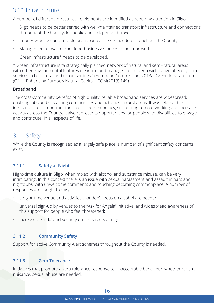# 3.10 Infrastructure

A number of different infrastructure elements are identified as requiring attention in Sligo:

- Sligo needs to be better served with well-maintained transport infrastructure and connections throughout the County, for public and independent travel.
- County-wide fast and reliable broadband access is needed throughout the County.
- Management of waste from food businesses needs to be improved.
- Green infrastructure\* needs to be developed.

\* Green infrastructure is "a strategically planned network of natural and semi-natural areas with other environmental features designed and managed to deliver a wide range of ecosystem services in both rural and urban settings." (European Commission, 2013a, Green Infrastructure (GI) — Enhancing Europe's Natural Capital - COM(2013) 149)

#### **Broadband**

The cross-community benefits of high quality, reliable broadband services are widespread; enabling jobs and sustaining communities and activities in rural areas. It was felt that this infrastructure is important for choice and democracy, supporting remote working and increased activity across the County. It also represents opportunities for people with disabilities to engage and contribute in all aspects of life.

# 3.11 Safety

While the County is recognised as a largely safe place, a number of significant safety concerns exist.

#### **3.11.1 Safety at Night**

Night-time culture in Sligo, when mixed with alcohol and substance misuse, can be very intimidating. In this context there is an issue with sexual harassment and assault in bars and nightclubs, with unwelcome comments and touching becoming commonplace. A number of responses are sought to this;

- a night-time venue and activities that don't focus on alcohol are needed;
- universal sign-up by venues to the "Ask for Angela" initiative, and widespread awareness of this support for people who feel threatened;
- increased Gardaí and security on the streets at night.

#### **3.11.2 Community Safety**

Support for active Community Alert schemes throughout the County is needed.

#### **3.11.3 Zero Tolerance**

Initiatives that promote a zero tolerance response to unacceptable behaviour, whether racism, nuisance, sexual abuse are needed.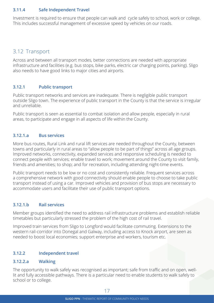#### **3.11.4 Safe Independent Travel**

Investment is required to ensure that people can walk and cycle safely to school, work or college. This includes successful management of excessive speed by vehicles on our roads.

# 3.12 Transport

Across and between all transport modes, better connections are needed with appropriate infrastructure and facilities (e.g. bus stops, bike parks, electric car charging points, parking). Sligo also needs to have good links to major cities and airports.

#### **3.12.1 Public transport**

Public transport networks and services are inadequate. There is negligible public transport outside Sligo town. The experience of public transport in the County is that the service is irregular and unreliable.

Public transport is seen as essential to combat isolation and allow people, especially in rural areas, to participate and engage in all aspects of life within the County.

#### **3.12.1.a Bus services**

More bus routes, Rural Link and rural lift services are needed throughout the County, between towns and particularly in rural areas to "allow people to be part of things" across all age groups. Improved networks, connectivity, expanded services and responsive scheduling is needed to connect people with services; enable travel to work; movement around the County to visit family, friends and amenities; to shop; and for recreation, including attending night-time events.

Public transport needs to be low or no cost and consistently reliable. Frequent services across a comprehensive network with good connectivity should enable people to choose to take public transport instead of using a car. Improved vehicles and provision of bus stops are necessary to accommodate users and facilitate their use of public transport options.

#### **3.12.1.b Rail services**

Member groups identified the need to address rail infrastructure problems and establish reliable timetables but particularly stressed the problem of the high cost of rail travel.

Improved train services from Sligo to Longford would facilitate commuting. Extensions to the western rail-corridor into Donegal and Galway, including access to Knock airport, are seen as needed to boost local economies; support enterprise and workers, tourism etc.

#### **3.12.2 Independent travel**

#### **3.12.2.a Walking**

The opportunity to walk safely was recognised as important; safe from traffic and on open, welllit and fully accessible pathways. There is a particular need to enable students to walk safely to school or to college.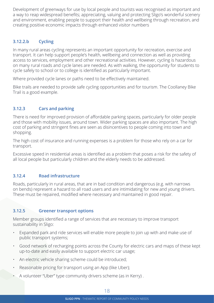Development of greenways for use by local people and tourists was recognised as important and a way to reap widespread benefits; appreciating, valuing and protecting Sligo's wonderful scenery and environment, enabling people to support their health and wellbeing through recreation, and creating positive economic impacts through enhanced visitor numbers

#### **3.12.2.b Cycling**

In many rural areas cycling represents an important opportunity for recreation, exercise and transport. It can help support people's health, wellbeing and connection as well as providing access to services, employment and other recreational activities. However, cycling is hazardous on many rural roads and cycle lanes are needed. As with walking, the opportunity for students to cycle safely to school or to college is identified as particularly important.

Where provided cycle lanes or paths need to be effectively maintained.

Bike trails are needed to provide safe cycling opportunities and for tourism. The Coollaney Bike Trail is a good example.

#### **3.12.3 Cars and parking**

There is need for improved provision of affordable parking spaces, particularly for older people and those with mobility issues, around town. Wider parking spaces are also important. The high cost of parking and stringent fines are seen as disincentives to people coming into town and shopping.

The high cost of insurance and running expenses is a problem for those who rely on a car for transport.

Excessive speed in residential areas is identified as a problem that poses a risk for the safety of all local people but particularly children and the elderly needs to be addressed.

#### **3.12.4 Road infrastructure**

Roads, particularly in rural areas, that are in bad condition and dangerous (e.g. with narrows on bends) represent a hazard to all road users and are intimidating for new and young drivers. These must be repaired, modified where necessary and maintained in good repair.

#### **3.12.5 Greener transport options**

Member groups identified a range of services that are necessary to improve transport sustainability in Sligo:

- Expanded park and ride services will enable more people to join up with and make use of public transport systems;
- Good network of recharging points across the County for electric cars and maps of these kept up-to-date and easily available to support electric car usage;
- An electric vehicle sharing scheme could be introduced;
- Reasonable pricing for transport using an App (like Uber);
- A volunteer "Uber" type community drivers scheme (as in Kerry) .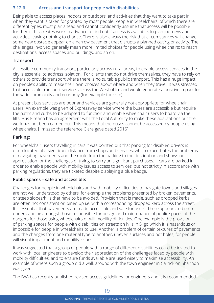#### **3.12.6 Access and transport for people with disabilities**

Being able to access places indoors or outdoors, and activities that they want to take part in, when they want is taken for granted by most people. People in wheelchairs, of which there are different types, must plan ahead and cannot confidently assume that access will be possible for them. This creates work in advance to find out if access is available, to plan journeys and activities, leaving nothing to chance. There is also always the risk that circumstances will change; some new obstacle appear on a narrow pavement that disrupts a planned outing or activity. The challenges involved generally mean more limited choices for people using wheelchairs; to reach destinations, access spaces and buildings, and so on.

#### **Transport:**

Accessible community transport, particularly across rural areas, to enable access services in the city is essential to address isolation. For clients that do not drive themselves, they have to rely on others to provide transport where there is no suitable public transport. This has a huge impact on people's ability to make their own choices about where and when they travel. It was stressed that accessible transport services across the West of Ireland would generate a positive impact for the wide community and economy (for example tourism).

At present bus services are poor and vehicles are generally not appropriate for wheelchair users. An example was given of Expressway service where the buses are accessible but require the paths and curbs to be adapted to function and enable wheelchair users to board via the lifts. Bus Eireann has an agreement with the Local Authority to make these adaptations but the work has not been carried out. This means that the buses cannot be accessed by people using wheelchairs. [I missed the reference Clare gave dated 2016]

#### **Parking:**

For wheelchair users travelling in cars it was pointed out that parking for disabled drivers is often located at a significant distance from shops and services, which exacerbates the problems of navigating pavements and the route from the parking to the destination and shows no appreciation for the challenges of trying to carry an significant purchases. If cars are parked in order to enable people with mobility issues access to services, but not strictly in accordance with parking regulations, they are ticketed despite displaying a blue badge.

#### **Public spaces – safe and accessible:**

Challenges for people in wheelchairs and with mobility difficulties to navigate towns and villages are not well understood by others, for example the problems presented by broken pavements, or steep slopes/hills that have to be avoided. Provision that is made, such as dropped kerbs, are often not consistent or joined up i.e. with a corresponding dropped kerb across the street. It is essential that pavements are made accessible and safe for users. There appears to be no understanding amongst those responsible for design and maintenance of public spaces of the dangers for those using wheelchairs or will mobility difficulties. One example is the provision of parking spaces for people with disabilities on streets on hills in Sligo which it is hazardous or impossible for people in wheelchairs to use. Another is problem of certain textures of pavements and the changes from one material type to another, uneven surfaces and pot holes, for people will visual impairment and mobility issues.

It was suggested that a group of people with a range of different disabilities could be invited to work with local engineers to develop their appreciation of the challenges faced by people with mobility difficulties, and to ensure funds available are used wisely to maximise accessibility. An example of where such a group did a walk around with the town engineer in Carrick on Shannon was given.

The IWA has recently published revised access guidelines for engineers and it is recommended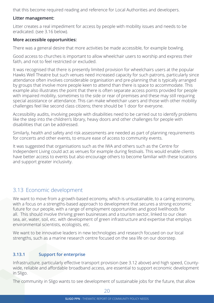that this become required reading and reference for Local Authorities and developers.

#### **Litter management:**

Litter creates a real impediment for access by people with mobility issues and needs to be eradicated. (see 3.16 below).

#### **More accessible opportunities:**

There was a general desire that more activities be made accessible, for example bowling.

Good access to churches is important to allow wheelchair users to worship and express their faith, and not to feel restricted or excluded.

It was recognised that there is presently limited provision for wheelchairs users at the popular Hawks Well Theatre but such venues need increased capacity for such patrons, particularly since attendance often involves considerable organisation and pre-planning that is typically arranged by groups that involve more people keen to attend than there is space to accommodate. This example also illustrates the point that there is often separate access points provided for people with impaired mobility, sometimes to the side or rear of premises and these may still requiring special assistance or attendance. This can make wheelchair users and those with other mobility challenges feel like second class citizens; there should be 1 door for everyone.

Accessibility audits, involving people with disabilities need to be carried out to identify problems like the step into the children's library, heavy doors and other challenges for people with disabilities that can be addressed.

Similarly, health and safety and risk assessments are needed as part of planning requirements for concerts and other events, to ensure ease of access to community events.

It was suggested that organisations such as the IWA and others such as the Centre for Independent Living could act as venues for example during festivals. This would enable clients have better access to events but also encourage others to become familiar with these locations and support greater inclusivity.

# 3.13 Economic development

We want to move from a growth-based economy, which is unsustainable, to a caring economy, with a focus on a strengths-based approach to development that secures a strong economic future for our people, with a range of employment opportunities and good livelihoods for all. This should involve thriving green businesses and a tourism sector, linked to our clean sea, air, water, soil, etc. with development of green infrastructure and expertise that employs environmental scientists, ecologists, etc.

We want to be innovative leaders in new technologies and research focused on our local strengths, such as a marine research centre focused on the sea life on our doorstep.

#### **3.13.1 Support for enterprise**

Infrastructure, particularly effective transport provision (see 3.12 above) and high speed, Countywide, reliable and affordable broadband access, are essential to support economic development in Sligo.

The community in Sligo wants to see development of sustainable jobs for the future, that allow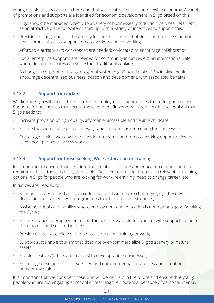young people to stay or return here and that will create a resilient and flexible economy. A variety of promotions and supports are identified for economic development in Sligo based on this:

- Sligo should be marketed directly to a variety of businesses (production, services, retail, etc.) as an attractive place to locate or start up, with a variety of incentives to support this.
- Provision is sought across the County for more affordable hot desks and business hubs in small communities; to support remote workers and co-working.
- Affordable artisan/ arts workspaces are needed; co-located to encourage collaboration.
- Social enterprise supports are needed for community initiatives e.g. an international café where different cultures can share their traditional cooking.
- A change in corporation tax to a regional system e.g. 22% in Dublin, 12% in Sligo would encourage decentralised business location and development, with associated benefits.

#### **3.13.2 Support for workers**

Workers in Sligo will benefit from increased employment opportunities that offer good wages. Supports for businesses that secure these will benefit workers. In addition, it is recognised that Sligo needs to:

- Increase provision of high quality, affordable, accessible and flexible childcare;
- Ensure that women are paid a fair wage and the same as men doing the same work;
- Encourage flexible working hours, work from home, and remote working opportunities that allow more people to access work.

#### **3.13.3 Support for those Seeking Work, Education or Training**

It is important to ensure that clear information about training and education options, and the requirements for these, is easily accessible. We need to provide flexible and relevant re-training options in Sligo for people who are looking for work, re-training, need to change career, etc.

Initiatives are needed to:

- Support those who find access to education and work more challenging e.g. those with disabilities, autism, etc. with programmes that tap into their strengths;
- Assist individuals and families where employment and education is not a priority (e.g. Breaking the Cycle);
- Ensure a range of employment opportunities are available for women, with supports to help them access and succeed in these;
- Provide childcare to allow parents enter education, training or work;
- Support sustainable tourism that does not over-commercialise Sligo's scenery or natural assets;
- Enable creatives (artists and makers) to develop viable businesses;
- Encourage development of diversified and entrepreneurial businesses and retention of home-grown talent.

It is important that we consider those who will be workers in the future and ensure that young people who are not engaging at school or reaching their potential because of personal, mental,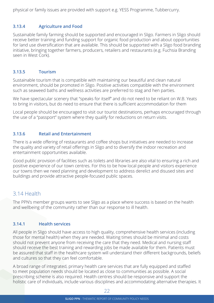physical or family issues are provided with support e.g. YESS Programme, Tubbercurry.

#### **3.13.4 Agriculture and Food**

Sustainable family farming should be supported and encouraged in Sligo. Farmers in Sligo should receive better training and funding support for organic food production and about opportunities for land use diversification that are available. This should be supported with a Sligo food branding initiative, bringing together farmers, producers, retailers and restaurants (e.g. Fuchsia Branding seen in West Cork).

#### **3.13.5 Tourism**

Sustainable tourism that is compatible with maintaining our beautiful and clean natural environment, should be promoted in Sligo. Positive activities compatible with the environment such as seaweed baths and wellness activities are preferred to stag and hen parties.

We have spectacular scenery that "speaks for itself" and do not need to be reliant on W.B. Yeats to bring in visitors, but do need to ensure that there is sufficient accommodation for them

Local people should be encouraged to visit our tourist destinations, perhaps encouraged through the use of a "passport" system where they qualify for reductions on return visits.

#### **3.13.6 Retail and Entertainment**

There is a wide offering of restaurants and coffee shops but initiatives are needed to increase the quality and variety of retail offerings in Sligo and to diversify the indoor recreation and entertainment opportunities available.

Good public provision of facilities such as toilets and libraries are also vital to ensuring a rich and positive experience of our town centres. For this to be how local people and visitors experience our towns then we need planning and development to address derelict and disused sites and buildings and provide attractive people-focused public spaces.

# 3.14 Health

The PPN's member groups wants to see Sligo as a place where success is based on the health and wellbeing of the community rather than our response to ill health.

#### **3.14.1 Health services**

All people in Sligo should have access to high quality, comprehensive health services (including those for mental health) when they are needed. Waiting times should be minimal and costs should not prevent anyone from receiving the care that they need. Medical and nursing staff should receive the best training and rewarding jobs be made available for them. Patients must be assured that staff in the healthcare system will understand their different backgrounds, beliefs and cultures so that they can feel comfortable.

A broad range of integrated, primary health care services that are fully equipped and staffed to meet population needs should be located as close to communities as possible. A social prescribing scheme is also required. Health centres should be responsive and support the holistic care of individuals, include various disciplines and accommodating alternative therapies. It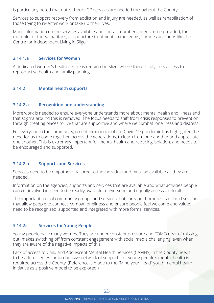is particularly noted that out-of-hours GP services are needed throughout the County.

Services to support recovery from addiction and injury are needed, as well as rehabilitation of those trying to re-enter work or take up their lives.

More information on the services available and contact numbers needs to be provided, for example for the Samaritans, acupuncture treatment, in museums, libraries and hubs like the Centre for Independent Living in Sligo.

#### **3.14.1.a Services for Women**

A dedicated women's health centre is required in Sligo, where there is full, free, access to reproductive health and family planning.

#### **3.14.2 Mental health supports**

#### **3.14.2.a Recognition and understanding**

More work is needed to ensure everyone understands more about mental health and illness and that stigma around this is removed. The focus needs to shift from crisis responses to prevention through creating places to live that are supportive and where we combat loneliness and distress.

For everyone in the community, recent experience of the Covid-19 pandemic has highlighted the need for us to come together, across the generations, to learn from one another and appreciate one another. This is extremely important for mental health and reducing isolation, and needs to be encouraged and supported.

#### **3.14.2.b Supports and Services**

Services need to be empathetic, tailored to the individual and must be available as they are needed.

Information on the agencies, supports and services that are available and what activities people can get involved in need to be readily available to everyone and equally accessible to all.

The important role of community groups and services that carry out home visits or hold sessions that allow people to connect, combat loneliness and ensure people feel welcome and valued need to be recognised, supported and integrated with more formal services.

#### **3.14.2.c Services for Young People**

Young people have many worries. They are under constant pressure and FOMO (fear of missing out) makes switching off from constant engagement with social media challenging, even when they are aware of the negative impacts of this.

Lack of access to Child and Adolescent Mental Health Services (CAMHS) in the County needs to be addressed. A comprehensive network of supports for young people's mental health is required across the County. (Reference is made to the "Mind your Head" youth mental health initiative as a positive model to be explored.)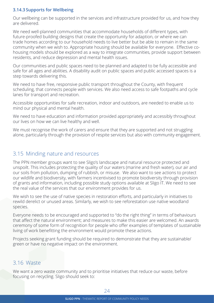#### **3.14.3 Supports for Wellbeing**

Our wellbeing can be supported in the services and infrastructure provided for us, and how they are delivered.

We need well-planned communities that accommodate households of different types, with future-proofed building designs that create the opportunity for adaption, or where we can trade homes according to our household needs to live better but be able to remain in the same community when we wish to. Appropriate housing should be available for everyone. Effective cohousing models should be explored as a way to integrate communities, provide support between residents, and reduce depression and mental health issues.

Our communities and public spaces need to be planned and adapted to be fully accessible and safe for all ages and abilities. A disability audit on public spaces and public accessed spaces is a step towards delivering this.

We need to have free, responsive public transport throughout the County, with frequent scheduling, that connects people with services. We also need access to safe footpaths and cycle lanes for transport and recreation.

Accessible opportunities for safe recreation, indoor and outdoors, are needed to enable us to mind our physical and mental health.

We need to have education and information provided appropriately and accessibly throughout our lives on how we can live healthy and well.

We must recognise the work of carers and ensure that they are supported and not struggling alone, particularly through the provision of respite services but also with community engagement.

## 3.15 Minding nature and resources

The PPN member groups want to see Sligo's landscape and natural resource protected and unspoilt. This includes protecting the quality of our waters (marine and fresh water), our air and our soils from pollution, dumping of rubbish, or misuse. We also want to see actions to protect our wildlife and biodiversity, with farmers incentivised to promote biodiversity through provision of grants and information, including possible study options available at Sligo IT. We need to see the real value of the services that our environment provides for us.

We wish to see the use of native species in restoration efforts, and particularly in initiatives to rewild derelict or unused areas. Similarly, we wish to see reforestation use native woodland species.

Everyone needs to be encouraged and supported to "do the right thing" in terms of behaviours that affect the natural environment; and measures to make this easier are welcomed. An awards ceremony of some form of recognition for people who offer examples of templates of sustainable living of work benefitting the environment would promote these actions.

Projects seeking grant funding should be required to demonstrate that they are sustainable/ green or have no negative impact on the environment.

## 3.16 Waste

We want a zero waste community and to prioritise initiatives that reduce our waste, before focusing on recycling. Sligo should seek to: